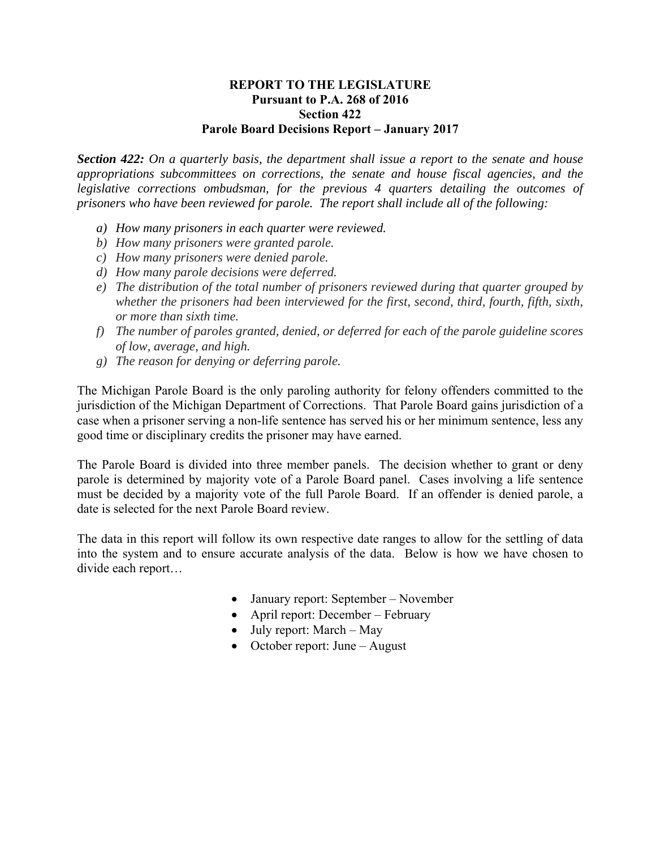## **REPORT TO THE LEGISLATURE Pursuant to P.A. 268 of 2016 Section 422 Parole Board Decisions Report – January 2017**

*Section 422: On a quarterly basis, the department shall issue a report to the senate and house appropriations subcommittees on corrections, the senate and house fiscal agencies, and the legislative corrections ombudsman, for the previous 4 quarters detailing the outcomes of prisoners who have been reviewed for parole. The report shall include all of the following:* 

- *a) How many prisoners in each quarter were reviewed.*
- *b) How many prisoners were granted parole.*
- *c) How many prisoners were denied parole.*
- *d) How many parole decisions were deferred.*
- *e) The distribution of the total number of prisoners reviewed during that quarter grouped by whether the prisoners had been interviewed for the first, second, third, fourth, fifth, sixth, or more than sixth time.*
- *f) The number of paroles granted, denied, or deferred for each of the parole guideline scores of low, average, and high.*
- *g) The reason for denying or deferring parole.*

The Michigan Parole Board is the only paroling authority for felony offenders committed to the jurisdiction of the Michigan Department of Corrections. That Parole Board gains jurisdiction of a case when a prisoner serving a non-life sentence has served his or her minimum sentence, less any good time or disciplinary credits the prisoner may have earned.

The Parole Board is divided into three member panels. The decision whether to grant or deny parole is determined by majority vote of a Parole Board panel. Cases involving a life sentence must be decided by a majority vote of the full Parole Board. If an offender is denied parole, a date is selected for the next Parole Board review.

The data in this report will follow its own respective date ranges to allow for the settling of data into the system and to ensure accurate analysis of the data. Below is how we have chosen to divide each report…

- January report: September November
- April report: December February
- July report: March May
- October report: June August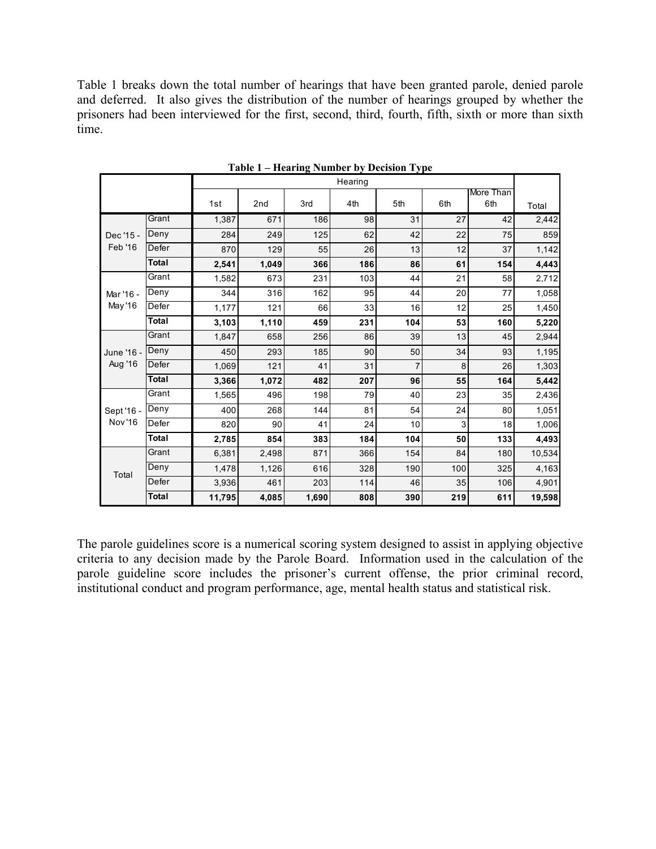Table 1 breaks down the total number of hearings that have been granted parole, denied parole and deferred. It also gives the distribution of the number of hearings grouped by whether the prisoners had been interviewed for the first, second, third, fourth, fifth, sixth or more than sixth time.

|                             |              | Hearing |       |       |     |                |     |                  |        |
|-----------------------------|--------------|---------|-------|-------|-----|----------------|-----|------------------|--------|
|                             |              | 1st     | 2nd   | 3rd   | 4th | 5th            | 6th | More Than<br>6th | Total  |
| Dec '15 -<br>Feb '16        | Grant        | 1,387   | 671   | 186   | 98  | 31             | 27  | 42               | 2,442  |
|                             | Deny         | 284     | 249   | 125   | 62  | 42             | 22  | 75               | 859    |
|                             | Defer        | 870     | 129   | 55    | 26  | 13             | 12  | 37               | 1,142  |
|                             | <b>Total</b> | 2,541   | 1,049 | 366   | 186 | 86             | 61  | 154              | 4,443  |
| Mar '16 -<br>May '16        | Grant        | 1,582   | 673   | 231   | 103 | 44             | 21  | 58               | 2,712  |
|                             | Deny         | 344     | 316   | 162   | 95  | 44             | 20  | 77               | 1,058  |
|                             | Defer        | 1,177   | 121   | 66    | 33  | 16             | 12  | 25               | 1,450  |
|                             | <b>Total</b> | 3,103   | 1,110 | 459   | 231 | 104            | 53  | 160              | 5,220  |
| June '16 -<br>Aug '16       | Grant        | 1,847   | 658   | 256   | 86  | 39             | 13  | 45               | 2,944  |
|                             | Deny         | 450     | 293   | 185   | 90  | 50             | 34  | 93               | 1,195  |
|                             | Defer        | 1,069   | 121   | 41    | 31  | $\overline{7}$ | 8   | 26               | 1,303  |
|                             | <b>Total</b> | 3,366   | 1,072 | 482   | 207 | 96             | 55  | 164              | 5,442  |
| Sept '16 -<br><b>Nov'16</b> | Grant        | 1,565   | 496   | 198   | 79  | 40             | 23  | 35               | 2,436  |
|                             | Deny         | 400     | 268   | 144   | 81  | 54             | 24  | 80               | 1,051  |
|                             | Defer        | 820     | 90    | 41    | 24  | 10             | 3   | 18               | 1,006  |
|                             | <b>Total</b> | 2,785   | 854   | 383   | 184 | 104            | 50  | 133              | 4,493  |
| Total                       | Grant        | 6,381   | 2,498 | 871   | 366 | 154            | 84  | 180              | 10,534 |
|                             | Deny         | 1,478   | 1,126 | 616   | 328 | 190            | 100 | 325              | 4,163  |
|                             | Defer        | 3,936   | 461   | 203   | 114 | 46             | 35  | 106              | 4,901  |
|                             | <b>Total</b> | 11,795  | 4,085 | 1,690 | 808 | 390            | 219 | 611              | 19,598 |

**Table 1 – Hearing Number by Decision Type** 

The parole guidelines score is a numerical scoring system designed to assist in applying objective criteria to any decision made by the Parole Board. Information used in the calculation of the parole guideline score includes the prisoner's current offense, the prior criminal record, institutional conduct and program performance, age, mental health status and statistical risk.